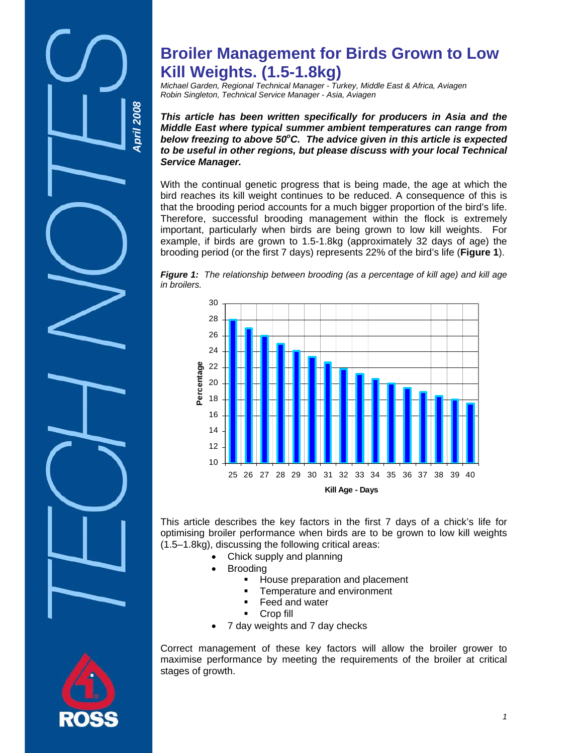# **Broiler Management for Birds Grown to Low Kill Weights. (1.5-1.8kg)**

*Michael Garden, Regional Technical Manager - Turkey, Middle East & Africa, Aviagen Robin Singleton, Technical Service Manager - Asia, Aviagen* 

*This article has been written specifically for producers in Asia and the Middle East where typical summer ambient temperatures can range from below freezing to above 50<sup>o</sup> C. The advice given in this article is expected to be useful in other regions, but please discuss with your local Technical Service Manager.* 

With the continual genetic progress that is being made, the age at which the bird reaches its kill weight continues to be reduced. A consequence of this is that the brooding period accounts for a much bigger proportion of the bird's life. Therefore, successful brooding management within the flock is extremely important, particularly when birds are being grown to low kill weights. For example, if birds are grown to 1.5-1.8kg (approximately 32 days of age) the brooding period (or the first 7 days) represents 22% of the bird's life (**Figure 1**).

*Figure 1: The relationship between brooding (as a percentage of kill age) and kill age in broilers.* 



This article describes the key factors in the first 7 days of a chick's life for optimising broiler performance when birds are to be grown to low kill weights (1.5–1.8kg), discussing the following critical areas:

- Chick supply and planning
- **Brooding** 
	- **House preparation and placement**
	- **Temperature and environment**
	- Feed and water
	- Crop fill
	- 7 day weights and 7 day checks

Correct management of these key factors will allow the broiler grower to maximise performance by meeting the requirements of the broiler at critical stages of growth.



*A*

*pril 200 8*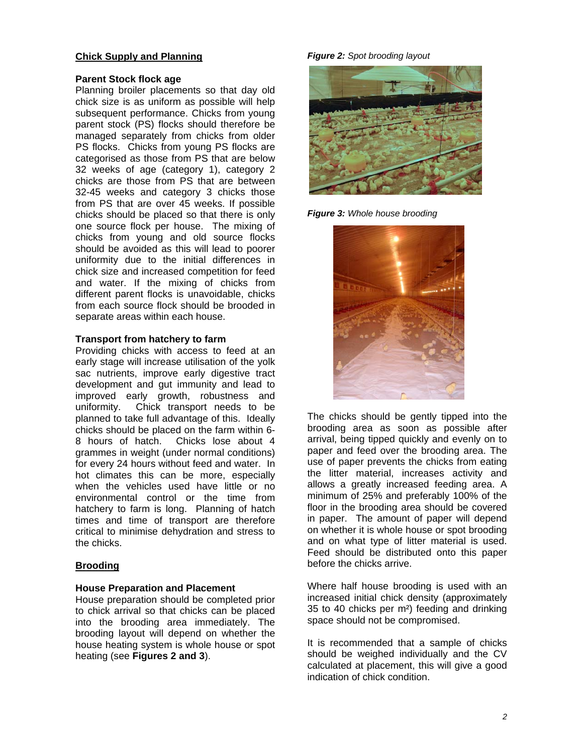## **Chick Supply and Planning**

## **Parent Stock flock age**

Planning broiler placements so that day old chick size is as uniform as possible will help subsequent performance. Chicks from young parent stock (PS) flocks should therefore be managed separately from chicks from older PS flocks. Chicks from young PS flocks are categorised as those from PS that are below 32 weeks of age (category 1), category 2 chicks are those from PS that are between 32-45 weeks and category 3 chicks those from PS that are over 45 weeks. If possible chicks should be placed so that there is only one source flock per house. The mixing of chicks from young and old source flocks should be avoided as this will lead to poorer uniformity due to the initial differences in chick size and increased competition for feed and water. If the mixing of chicks from different parent flocks is unavoidable, chicks from each source flock should be brooded in separate areas within each house.

# **Transport from hatchery to farm**

Providing chicks with access to feed at an early stage will increase utilisation of the yolk sac nutrients, improve early digestive tract development and gut immunity and lead to improved early growth, robustness and uniformity. Chick transport needs to be planned to take full advantage of this. Ideally chicks should be placed on the farm within 6- 8 hours of hatch. Chicks lose about 4 grammes in weight (under normal conditions) for every 24 hours without feed and water. In hot climates this can be more, especially when the vehicles used have little or no environmental control or the time from hatchery to farm is long. Planning of hatch times and time of transport are therefore critical to minimise dehydration and stress to the chicks.

# **Brooding**

#### **House Preparation and Placement**

House preparation should be completed prior to chick arrival so that chicks can be placed into the brooding area immediately. The brooding layout will depend on whether the house heating system is whole house or spot heating (see **Figures 2 and 3**).

#### *Figure 2: Spot brooding layout*



*Figure 3: Whole house brooding* 



The chicks should be gently tipped into the brooding area as soon as possible after arrival, being tipped quickly and evenly on to paper and feed over the brooding area. The use of paper prevents the chicks from eating the litter material, increases activity and allows a greatly increased feeding area. A minimum of 25% and preferably 100% of the floor in the brooding area should be covered in paper. The amount of paper will depend on whether it is whole house or spot brooding and on what type of litter material is used. Feed should be distributed onto this paper before the chicks arrive.

Where half house brooding is used with an increased initial chick density (approximately 35 to 40 chicks per m²) feeding and drinking space should not be compromised.

It is recommended that a sample of chicks should be weighed individually and the CV calculated at placement, this will give a good indication of chick condition.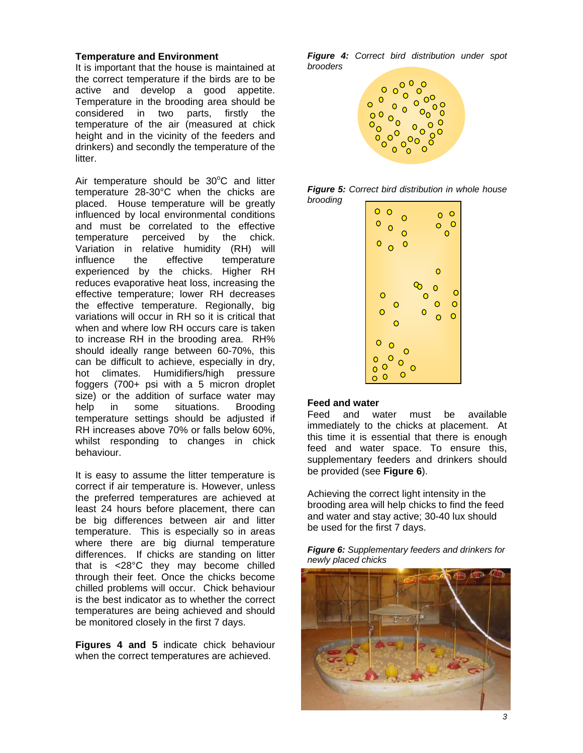## **Temperature and Environment**

It is important that the house is maintained at the correct temperature if the birds are to be active and develop a good appetite. Temperature in the brooding area should be considered in two parts, firstly the temperature of the air (measured at chick height and in the vicinity of the feeders and drinkers) and secondly the temperature of the litter.

Air temperature should be 30°C and litter temperature 28-30°C when the chicks are placed. House temperature will be greatly influenced by local environmental conditions and must be correlated to the effective temperature perceived by the chick. Variation in relative humidity (RH) will influence the effective temperature experienced by the chicks. Higher RH reduces evaporative heat loss, increasing the effective temperature; lower RH decreases the effective temperature. Regionally, big variations will occur in RH so it is critical that when and where low RH occurs care is taken to increase RH in the brooding area. RH% should ideally range between 60-70%, this can be difficult to achieve, especially in dry, hot climates. Humidifiers/high pressure foggers (700+ psi with a 5 micron droplet size) or the addition of surface water may help in some situations. Brooding temperature settings should be adjusted if RH increases above 70% or falls below 60%, whilst responding to changes in chick behaviour.

It is easy to assume the litter temperature is correct if air temperature is. However, unless the preferred temperatures are achieved at least 24 hours before placement, there can be big differences between air and litter temperature. This is especially so in areas where there are big diurnal temperature differences. If chicks are standing on litter that is <28°C they may become chilled through their feet. Once the chicks become chilled problems will occur. Chick behaviour is the best indicator as to whether the correct temperatures are being achieved and should be monitored closely in the first 7 days.

**Figures 4 and 5** indicate chick behaviour when the correct temperatures are achieved.

*Figure 4: Correct bird distribution under spot brooders* 







# **Feed and water**

Feed and water must be available immediately to the chicks at placement. At this time it is essential that there is enough feed and water space. To ensure this, supplementary feeders and drinkers should be provided (see **Figure 6**).

Achieving the correct light intensity in the brooding area will help chicks to find the feed and water and stay active; 30-40 lux should be used for the first 7 days.

*Figure 6: Supplementary feeders and drinkers for newly placed chicks* 

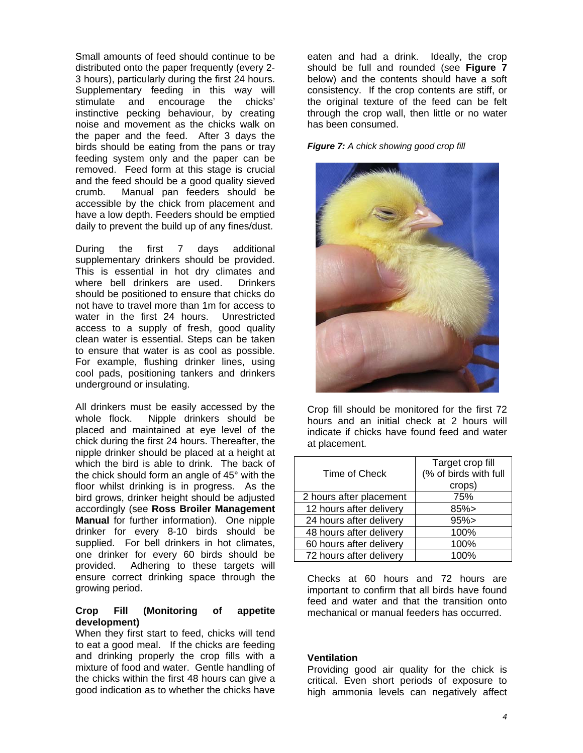Small amounts of feed should continue to be distributed onto the paper frequently (every 2- 3 hours), particularly during the first 24 hours. Supplementary feeding in this way will stimulate and encourage the chicks' instinctive pecking behaviour, by creating noise and movement as the chicks walk on the paper and the feed. After 3 days the birds should be eating from the pans or tray feeding system only and the paper can be removed. Feed form at this stage is crucial and the feed should be a good quality sieved crumb. Manual pan feeders should be accessible by the chick from placement and have a low depth. Feeders should be emptied daily to prevent the build up of any fines/dust.

During the first 7 days additional supplementary drinkers should be provided. This is essential in hot dry climates and where bell drinkers are used. Drinkers should be positioned to ensure that chicks do not have to travel more than 1m for access to water in the first 24 hours. Unrestricted access to a supply of fresh, good quality clean water is essential. Steps can be taken to ensure that water is as cool as possible. For example, flushing drinker lines, using cool pads, positioning tankers and drinkers underground or insulating.

All drinkers must be easily accessed by the whole flock. Nipple drinkers should be placed and maintained at eye level of the chick during the first 24 hours. Thereafter, the nipple drinker should be placed at a height at which the bird is able to drink. The back of the chick should form an angle of 45° with the floor whilst drinking is in progress. As the bird grows, drinker height should be adjusted accordingly (see **Ross Broiler Management Manual** for further information). One nipple drinker for every 8-10 birds should be supplied. For bell drinkers in hot climates. one drinker for every 60 birds should be provided. Adhering to these targets will ensure correct drinking space through the growing period.

#### **Crop Fill (Monitoring of appetite development)**

When they first start to feed, chicks will tend to eat a good meal. If the chicks are feeding and drinking properly the crop fills with a mixture of food and water. Gentle handling of the chicks within the first 48 hours can give a good indication as to whether the chicks have eaten and had a drink. Ideally, the crop should be full and rounded (see **Figure 7** below) and the contents should have a soft consistency. If the crop contents are stiff, or the original texture of the feed can be felt through the crop wall, then little or no water has been consumed.

#### *Figure 7: A chick showing good crop fill*



Crop fill should be monitored for the first 72 hours and an initial check at 2 hours will indicate if chicks have found feed and water at placement.

|                         | Target crop fill      |
|-------------------------|-----------------------|
| Time of Check           | (% of birds with full |
|                         | crops)                |
| 2 hours after placement | 75%                   |
| 12 hours after delivery | $85\%$                |
| 24 hours after delivery | $95\%$                |
| 48 hours after delivery | 100%                  |
| 60 hours after delivery | 100%                  |
| 72 hours after delivery | 100%                  |

Checks at 60 hours and 72 hours are important to confirm that all birds have found feed and water and that the transition onto mechanical or manual feeders has occurred.

#### **Ventilation**

Providing good air quality for the chick is critical. Even short periods of exposure to high ammonia levels can negatively affect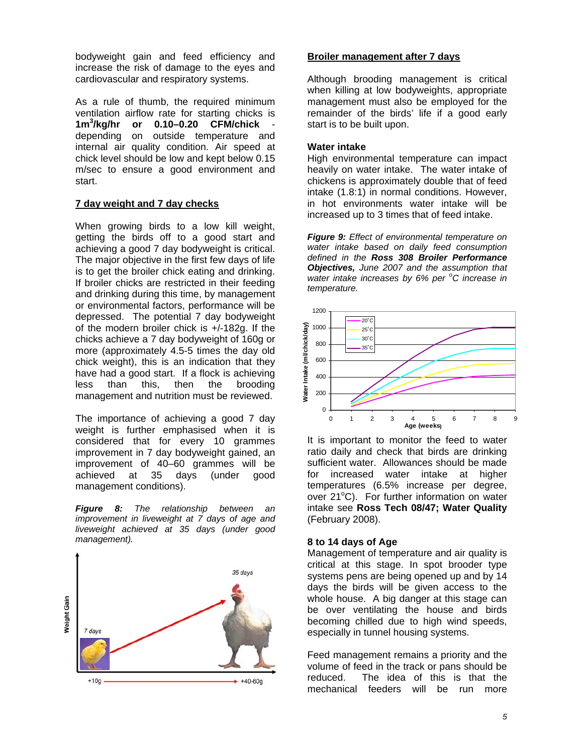bodyweight gain and feed efficiency and increase the risk of damage to the eyes and cardiovascular and respiratory systems.

As a rule of thumb, the required minimum ventilation airflow rate for starting chicks is **1m3 /kg/hr or 0.10–0.20 CFM/chick** depending on outside temperature and internal air quality condition. Air speed at chick level should be low and kept below 0.15 m/sec to ensure a good environment and start.

## **7 day weight and 7 day checks**

When growing birds to a low kill weight, getting the birds off to a good start and achieving a good 7 day bodyweight is critical. The major objective in the first few days of life is to get the broiler chick eating and drinking. If broiler chicks are restricted in their feeding and drinking during this time, by management or environmental factors, performance will be depressed. The potential 7 day bodyweight of the modern broiler chick is +/-182g. If the chicks achieve a 7 day bodyweight of 160g or more (approximately 4.5-5 times the day old chick weight), this is an indication that they have had a good start. If a flock is achieving less than this, then the brooding management and nutrition must be reviewed.

The importance of achieving a good 7 day weight is further emphasised when it is considered that for every 10 grammes improvement in 7 day bodyweight gained, an improvement of 40–60 grammes will be achieved at 35 days (under good management conditions).

*Figure 8: The relationship between an improvement in liveweight at 7 days of age and liveweight achieved at 35 days (under good management).* 



#### **Broiler management after 7 days**

Although brooding management is critical when killing at low bodyweights, appropriate management must also be employed for the remainder of the birds' life if a good early start is to be built upon.

#### **Water intake**

High environmental temperature can impact heavily on water intake. The water intake of chickens is approximately double that of feed intake (1.8:1) in normal conditions. However, in hot environments water intake will be increased up to 3 times that of feed intake.

*Figure 9: Effect of environmental temperature on water intake based on daily feed consumption defined in the Ross 308 Broiler Performance Objectives, June 2007 and the assumption that water intake increases by 6% per <sup>o</sup> C increase in temperature.* 



It is important to monitor the feed to water ratio daily and check that birds are drinking sufficient water. Allowances should be made for increased water intake at higher temperatures (6.5% increase per degree, over 21°C). For further information on water intake see **Ross Tech 08/47; Water Quality** (February 2008).

#### **8 to 14 days of Age**

Management of temperature and air quality is critical at this stage. In spot brooder type systems pens are being opened up and by 14 days the birds will be given access to the whole house. A big danger at this stage can be over ventilating the house and birds becoming chilled due to high wind speeds, especially in tunnel housing systems.

Feed management remains a priority and the volume of feed in the track or pans should be reduced. The idea of this is that the mechanical feeders will be run more